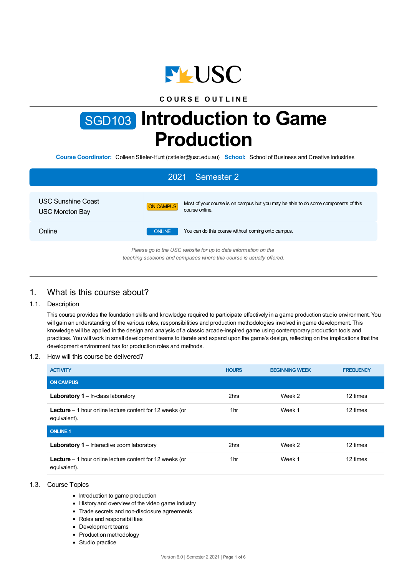

## **C O U R S E O U T L I N E**

# SGD103 **Introduction to Game Production**

**Course Coordinator:** Colleen Stieler-Hunt (cstieler@usc.edu.au) **School:** School of Business and Creative Industries

| Semester 2<br>2021                                                                                                                     |               |                                                                                                      |  |  |  |  |
|----------------------------------------------------------------------------------------------------------------------------------------|---------------|------------------------------------------------------------------------------------------------------|--|--|--|--|
| <b>USC Sunshine Coast</b><br><b>USC Moreton Bay</b>                                                                                    | ON CAMPUS     | Most of your course is on campus but you may be able to do some components of this<br>course online. |  |  |  |  |
| Online                                                                                                                                 | <b>ONLINE</b> | You can do this course without coming onto campus.                                                   |  |  |  |  |
| Please go to the USC website for up to date information on the<br>teaching sessions and campuses where this course is usually offered. |               |                                                                                                      |  |  |  |  |

# 1. What is this course about?

## 1.1. Description

This course provides the foundation skills and knowledge required to participate effectively in a game production studio environment. You will gain an understanding of the various roles, responsibilities and production methodologies involved in game development. This knowledge will be applied in the design and analysis of a classic arcade-inspired game using contemporary production tools and practices. You will work in small development teams to iterate and expand upon the game's design, reflecting on the implications that the development environment has for production roles and methods.

#### 1.2. How will this course be delivered?

| <b>ACTIVITY</b>                                                                  | <b>HOURS</b> | <b>BEGINNING WEEK</b> | <b>FREQUENCY</b> |
|----------------------------------------------------------------------------------|--------------|-----------------------|------------------|
| <b>ON CAMPUS</b>                                                                 |              |                       |                  |
| <b>Laboratory 1</b> – In-class laboratory                                        | 2hrs         | Week 2                | 12 times         |
| <b>Lecture</b> $-1$ hour online lecture content for 12 weeks (or<br>equivalent). | 1hr          | Week 1                | 12 times         |
| <b>ONLINE 1</b>                                                                  |              |                       |                  |
| <b>Laboratory 1</b> – Interactive zoom laboratory                                | 2hrs         | Week 2                | 12 times         |
| <b>Lecture</b> $-1$ hour online lecture content for 12 weeks (or<br>equivalent). | 1hr          | Week 1                | 12 times         |

#### 1.3. Course Topics

- Introduction to game production
- History and overview of the video game industry
- Trade secrets and non-disclosure agreements
- Roles and responsibilities
- Development teams
- Production methodology
- Studio practice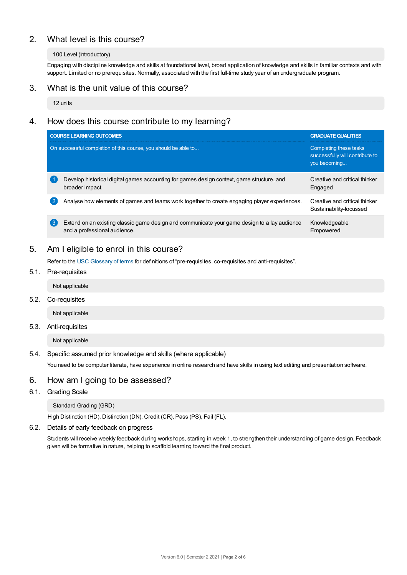# 2. What level is this course?

#### 100 Level (Introductory)

Engaging with discipline knowledge and skills at foundational level, broad application of knowledge and skills in familiar contexts and with support. Limited or no prerequisites. Normally, associated with the first full-time study year of an undergraduate program.

# 3. What is the unit value of this course?

12 units

# 4. How does this course contribute to my learning?

|                  | <b>COURSE LEARNING OUTCOMES</b>                                                                                              | <b>GRADUATE QUALITIES</b>                                                 |
|------------------|------------------------------------------------------------------------------------------------------------------------------|---------------------------------------------------------------------------|
|                  | On successful completion of this course, you should be able to                                                               | Completing these tasks<br>successfully will contribute to<br>you becoming |
|                  | Develop historical digital games accounting for games design context, game structure, and<br>broader impact.                 | Creative and critical thinker<br>Engaged                                  |
| $\overline{2}$   | Analyse how elements of games and teams work together to create engaging player experiences.                                 | Creative and critical thinker<br>Sustainability-focussed                  |
| $\left(3\right)$ | Extend on an existing classic game design and communicate your game design to a lay audience<br>and a professional audience. | Knowledgeable<br>Empowered                                                |

# 5. Am Ieligible to enrol in this course?

Refer to the USC [Glossary](https://www.usc.edu.au/about/policies-and-procedures/glossary-of-terms-for-policy-and-procedures) of terms for definitions of "pre-requisites, co-requisites and anti-requisites".

- 5.1. Pre-requisites
	- Not applicable
- 5.2. Co-requisites

Not applicable

5.3. Anti-requisites

Not applicable

#### 5.4. Specific assumed prior knowledge and skills (where applicable)

You need to be computer literate, have experience in online research and have skills in using text editing and presentation software.

## 6. How am Igoing to be assessed?

6.1. Grading Scale

Standard Grading (GRD)

High Distinction (HD), Distinction (DN), Credit (CR), Pass (PS), Fail (FL).

6.2. Details of early feedback on progress

Students will receive weekly feedback during workshops, starting in week 1, to strengthen their understanding of game design. Feedback given will be formative in nature, helping to scaffold learning toward the final product.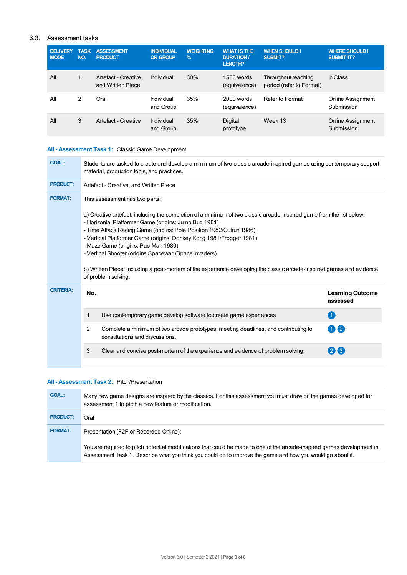## 6.3. Assessment tasks

| <b>DELIVERY</b><br><b>MODE</b> | <b>TASK</b><br>NO. | <b>ASSESSMENT</b><br><b>PRODUCT</b>       | <b>INDIVIDUAL</b><br><b>OR GROUP</b> | <b>WEIGHTING</b><br>$\frac{9}{6}$ | <b>WHAT IS THE</b><br><b>DURATION /</b><br><b>LENGTH?</b> | <b>WHEN SHOULD I</b><br><b>SUBMIT?</b>          | <b>WHERE SHOULD I</b><br><b>SUBMIT IT?</b> |
|--------------------------------|--------------------|-------------------------------------------|--------------------------------------|-----------------------------------|-----------------------------------------------------------|-------------------------------------------------|--------------------------------------------|
| All                            | 1                  | Artefact - Creative.<br>and Written Piece | Individual                           | 30%                               | $1500$ words<br>(equivalence)                             | Throughout teaching<br>period (refer to Format) | In Class                                   |
| All                            | 2                  | Oral                                      | Individual<br>and Group              | 35%                               | 2000 words<br>(equivalence)                               | Refer to Format                                 | Online Assignment<br>Submission            |
| All                            | 3                  | Artefact - Creative                       | Individual<br>and Group              | 35%                               | Digital<br>prototype                                      | Week 13                                         | Online Assignment<br>Submission            |

## **All - Assessment Task 1:** Classic Game Development

| <b>GOAL:</b>     | Students are tasked to create and develop a minimum of two classic arcade-inspired games using contemporary support<br>material, production tools, and practices.                                                                                                                                                                                                                                                                                                                                                                                                                                             |                                                                                                                       |                                     |  |
|------------------|---------------------------------------------------------------------------------------------------------------------------------------------------------------------------------------------------------------------------------------------------------------------------------------------------------------------------------------------------------------------------------------------------------------------------------------------------------------------------------------------------------------------------------------------------------------------------------------------------------------|-----------------------------------------------------------------------------------------------------------------------|-------------------------------------|--|
| <b>PRODUCT:</b>  | Artefact - Creative, and Written Piece                                                                                                                                                                                                                                                                                                                                                                                                                                                                                                                                                                        |                                                                                                                       |                                     |  |
| <b>FORMAT:</b>   | This assessment has two parts:<br>a) Creative artefact: including the completion of a minimum of two classic arcade-inspired game from the list below:<br>- Horizontal Platformer Game (origins: Jump Bug 1981)<br>- Time Attack Racing Game (origins: Pole Position 1982/Outrun 1986)<br>- Vertical Platformer Game (origins: Donkey Kong 1981/Frogger 1981)<br>- Maze Game (origins: Pac-Man 1980)<br>- Vertical Shooter (origins Spacewar!/Space Invaders)<br>b) Written Piece: including a post-mortem of the experience developing the classic arcade-inspired games and evidence<br>of problem solving. |                                                                                                                       |                                     |  |
|                  |                                                                                                                                                                                                                                                                                                                                                                                                                                                                                                                                                                                                               |                                                                                                                       |                                     |  |
| <b>CRITERIA:</b> | No.                                                                                                                                                                                                                                                                                                                                                                                                                                                                                                                                                                                                           |                                                                                                                       | <b>Learning Outcome</b><br>assessed |  |
|                  | 1                                                                                                                                                                                                                                                                                                                                                                                                                                                                                                                                                                                                             | Use contemporary game develop software to create game experiences                                                     | $\overline{1}$                      |  |
|                  | 2                                                                                                                                                                                                                                                                                                                                                                                                                                                                                                                                                                                                             | Complete a minimum of two arcade prototypes, meeting deadlines, and contributing to<br>consultations and discussions. | 02                                  |  |

#### **All - Assessment Task 2:** Pitch/Presentation

| <b>GOAL:</b>    | Many new game designs are inspired by the classics. For this assessment you must draw on the games developed for<br>assessment 1 to pitch a new feature or modification.                                                              |
|-----------------|---------------------------------------------------------------------------------------------------------------------------------------------------------------------------------------------------------------------------------------|
| <b>PRODUCT:</b> | Oral                                                                                                                                                                                                                                  |
| <b>FORMAT:</b>  | Presentation (F2F or Recorded Online):                                                                                                                                                                                                |
|                 | You are required to pitch potential modifications that could be made to one of the arcade-inspired games development in<br>Assessment Task 1. Describe what you think you could do to improve the game and how you would go about it. |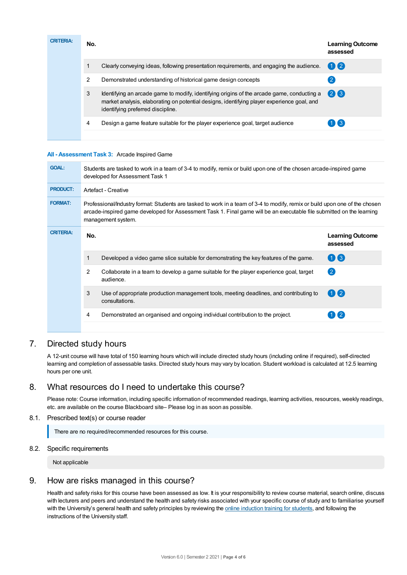| <b>CRITERIA:</b> | No. |                                                                                                                                                                                                                               | <b>Learning Outcome</b><br>assessed |
|------------------|-----|-------------------------------------------------------------------------------------------------------------------------------------------------------------------------------------------------------------------------------|-------------------------------------|
|                  |     | Clearly conveying ideas, following presentation requirements, and engaging the audience.                                                                                                                                      | 02                                  |
|                  | 2   | Demonstrated understanding of historical game design concepts                                                                                                                                                                 |                                     |
|                  | 3   | Identifying an arcade game to modify, identifying origins of the arcade game, conducting a<br>market analysis, elaborating on potential designs, identifying player experience goal, and<br>identifying preferred discipline. | 26                                  |
|                  | 4   | Design a game feature suitable for the player experience goal, target audience                                                                                                                                                | $(1)$ $(3)$                         |
|                  |     |                                                                                                                                                                                                                               |                                     |

#### **All - Assessment Task 3:** Arcade Inspired Game

| <b>GOAL:</b>     | Students are tasked to work in a team of 3-4 to modify, remix or build upon one of the chosen arcade-inspired game<br>developed for Assessment Task 1                                                                                                                      |                                                                                                          |                                     |  |  |
|------------------|----------------------------------------------------------------------------------------------------------------------------------------------------------------------------------------------------------------------------------------------------------------------------|----------------------------------------------------------------------------------------------------------|-------------------------------------|--|--|
| <b>PRODUCT:</b>  | Artefact - Creative                                                                                                                                                                                                                                                        |                                                                                                          |                                     |  |  |
| <b>FORMAT:</b>   | Professional/Industry format: Students are tasked to work in a team of 3-4 to modify, remix or build upon one of the chosen<br>arcade-inspired game developed for Assessment Task 1. Final game will be an executable file submitted on the learning<br>management system. |                                                                                                          |                                     |  |  |
| <b>CRITERIA:</b> | No.                                                                                                                                                                                                                                                                        |                                                                                                          | <b>Learning Outcome</b><br>assessed |  |  |
|                  | 1                                                                                                                                                                                                                                                                          | Developed a video game slice suitable for demonstrating the key features of the game.                    | $\bigcirc$                          |  |  |
|                  | 2                                                                                                                                                                                                                                                                          | Collaborate in a team to develop a game suitable for the player experience goal, target<br>audience.     | $\left( 2\right)$                   |  |  |
|                  | 3                                                                                                                                                                                                                                                                          | Use of appropriate production management tools, meeting deadlines, and contributing to<br>consultations. | $\mathbf{\Omega}$                   |  |  |
|                  | 4                                                                                                                                                                                                                                                                          | Demonstrated an organised and ongoing individual contribution to the project.                            |                                     |  |  |
|                  |                                                                                                                                                                                                                                                                            |                                                                                                          |                                     |  |  |

# 7. Directed study hours

A 12-unit course will have total of 150 learning hours which will include directed study hours (including online if required), self-directed learning and completion of assessable tasks. Directed study hours may vary by location. Student workload is calculated at 12.5 learning hours per one unit.

# 8. What resources do I need to undertake this course?

Please note: Course information, including specific information of recommended readings, learning activities, resources, weekly readings, etc. are available on the course Blackboard site– Please log in as soon as possible.

8.1. Prescribed text(s) or course reader

There are no required/recommended resources for this course.

8.2. Specific requirements

Not applicable

## 9. How are risks managed in this course?

Health and safety risks for this course have been assessed as low. It is your responsibility to review course material, search online, discuss with lecturers and peers and understand the health and safety risks associated with your specific course of study and to familiarise yourself with the University's general health and safety principles by reviewing the online [induction](https://online.usc.edu.au/webapps/blackboard/content/listContentEditable.jsp?content_id=_632657_1&course_id=_14432_1) training for students, and following the instructions of the University staff.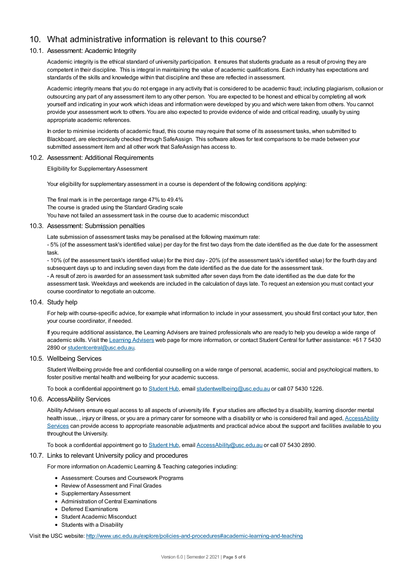# 10. What administrative information is relevant to this course?

#### 10.1. Assessment: Academic Integrity

Academic integrity is the ethical standard of university participation. It ensures that students graduate as a result of proving they are competent in their discipline. This is integral in maintaining the value of academic qualifications. Each industry has expectations and standards of the skills and knowledge within that discipline and these are reflected in assessment.

Academic integrity means that you do not engage in any activity that is considered to be academic fraud; including plagiarism, collusion or outsourcing any part of any assessment item to any other person. You are expected to be honest and ethical by completing all work yourself and indicating in your work which ideas and information were developed by you and which were taken from others. You cannot provide your assessment work to others.You are also expected to provide evidence of wide and critical reading, usually by using appropriate academic references.

In order to minimise incidents of academic fraud, this course may require that some of its assessment tasks, when submitted to Blackboard, are electronically checked through SafeAssign. This software allows for text comparisons to be made between your submitted assessment item and all other work that SafeAssign has access to.

#### 10.2. Assessment: Additional Requirements

Eligibility for Supplementary Assessment

Your eligibility for supplementary assessment in a course is dependent of the following conditions applying:

The final mark is in the percentage range 47% to 49.4% The course is graded using the Standard Grading scale You have not failed an assessment task in the course due to academic misconduct

#### 10.3. Assessment: Submission penalties

Late submission of assessment tasks may be penalised at the following maximum rate:

- 5% (of the assessment task's identified value) per day for the first two days from the date identified as the due date for the assessment task.

- 10% (of the assessment task's identified value) for the third day - 20% (of the assessment task's identified value) for the fourth day and subsequent days up to and including seven days from the date identified as the due date for the assessment task. - A result of zero is awarded for an assessment task submitted after seven days from the date identified as the due date for the

assessment task. Weekdays and weekends are included in the calculation of days late. To request an extension you must contact your course coordinator to negotiate an outcome.

#### 10.4. Study help

For help with course-specific advice, for example what information to include in your assessment, you should first contact your tutor, then your course coordinator, if needed.

If you require additional assistance, the Learning Advisers are trained professionals who are ready to help you develop a wide range of academic skills. Visit the Learning [Advisers](https://www.usc.edu.au/current-students/student-support/academic-and-study-support/learning-advisers) web page for more information, or contact Student Central for further assistance: +61 7 5430 2890 or [studentcentral@usc.edu.au](mailto:studentcentral@usc.edu.au).

#### 10.5. Wellbeing Services

Student Wellbeing provide free and confidential counselling on a wide range of personal, academic, social and psychological matters, to foster positive mental health and wellbeing for your academic success.

To book a confidential appointment go to [Student](https://studenthub.usc.edu.au/) Hub, email [studentwellbeing@usc.edu.au](mailto:studentwellbeing@usc.edu.au) or call 07 5430 1226.

#### 10.6. AccessAbility Services

Ability Advisers ensure equal access to all aspects of university life. If your studies are affected by a disability, learning disorder mental health issue,, injury or illness, or you are a primary carer for someone with a disability or who is considered frail and aged, [AccessAbility](https://www.usc.edu.au/learn/student-support/accessability-services/documentation-requirements) Services can provide access to appropriate reasonable adjustments and practical advice about the support and facilities available to you throughout the University.

To book a confidential appointment go to [Student](https://studenthub.usc.edu.au/) Hub, email [AccessAbility@usc.edu.au](mailto:AccessAbility@usc.edu.au) or call 07 5430 2890.

#### 10.7. Links to relevant University policy and procedures

For more information on Academic Learning & Teaching categories including:

- Assessment: Courses and Coursework Programs
- Review of Assessment and Final Grades
- Supplementary Assessment
- Administration of Central Examinations
- Deferred Examinations
- Student Academic Misconduct
- Students with a Disability

Visit the USC website: <http://www.usc.edu.au/explore/policies-and-procedures#academic-learning-and-teaching>